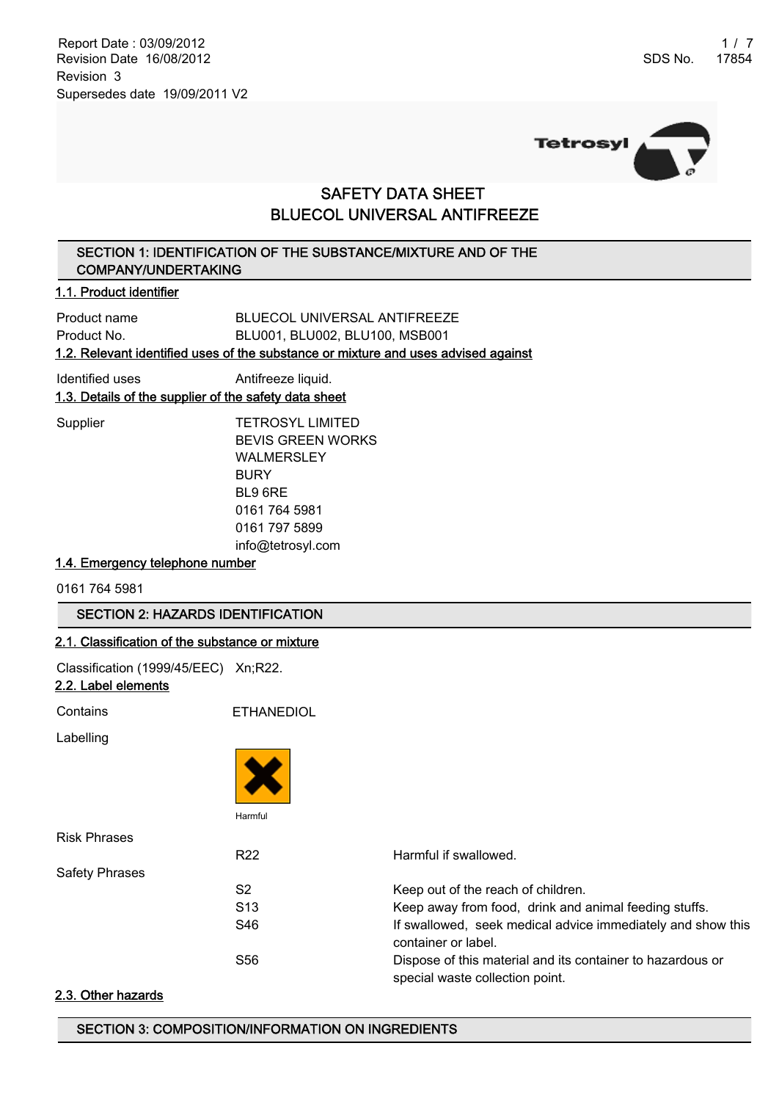Report Date : 03/09/2012 1 / 7 Revision Date 16/08/2012 Revision 3 Supersedes date 19/09/2011 V2



# SAFETY DATA SHEET BLUECOL UNIVERSAL ANTIFREEZE

## SECTION 1: IDENTIFICATION OF THE SUBSTANCE/MIXTURE AND OF THE COMPANY/UNDERTAKING

## 1.1. Product identifier

| 1.2. Relevant identified uses of the substance or mixture and uses advised against |                                |  |  |
|------------------------------------------------------------------------------------|--------------------------------|--|--|
| Product No.                                                                        | BLU001, BLU002, BLU100, MSB001 |  |  |
| Product name                                                                       | BLUECOL UNIVERSAL ANTIFREEZE   |  |  |

| Identified uses                                       | Antifreeze liquid. |
|-------------------------------------------------------|--------------------|
| 1.3. Details of the supplier of the safety data sheet |                    |

Supplier TETROSYL LIMITED BEVIS GREEN WORKS WALMERSLEY BURY BL9 6RE 0161 764 5981 0161 797 5899 info@tetrosyl.com

## 1.4. Emergency telephone number

0161 764 5981

## SECTION 2: HAZARDS IDENTIFICATION

## 2.1. Classification of the substance or mixture

Classification (1999/45/EEC) Xn;R22.

| 2.2. Label elements   |                   |                                                                                               |
|-----------------------|-------------------|-----------------------------------------------------------------------------------------------|
| Contains              | <b>ETHANEDIOL</b> |                                                                                               |
| Labelling             |                   |                                                                                               |
|                       |                   |                                                                                               |
|                       | Harmful           |                                                                                               |
| <b>Risk Phrases</b>   |                   |                                                                                               |
|                       | R <sub>22</sub>   | Harmful if swallowed.                                                                         |
| <b>Safety Phrases</b> |                   |                                                                                               |
|                       | S <sub>2</sub>    | Keep out of the reach of children.                                                            |
|                       | S <sub>13</sub>   | Keep away from food, drink and animal feeding stuffs.                                         |
|                       | S46               | If swallowed, seek medical advice immediately and show this<br>container or label.            |
|                       | S <sub>56</sub>   | Dispose of this material and its container to hazardous or<br>special waste collection point. |

#### 2.3. Other hazards

## SECTION 3: COMPOSITION/INFORMATION ON INGREDIENTS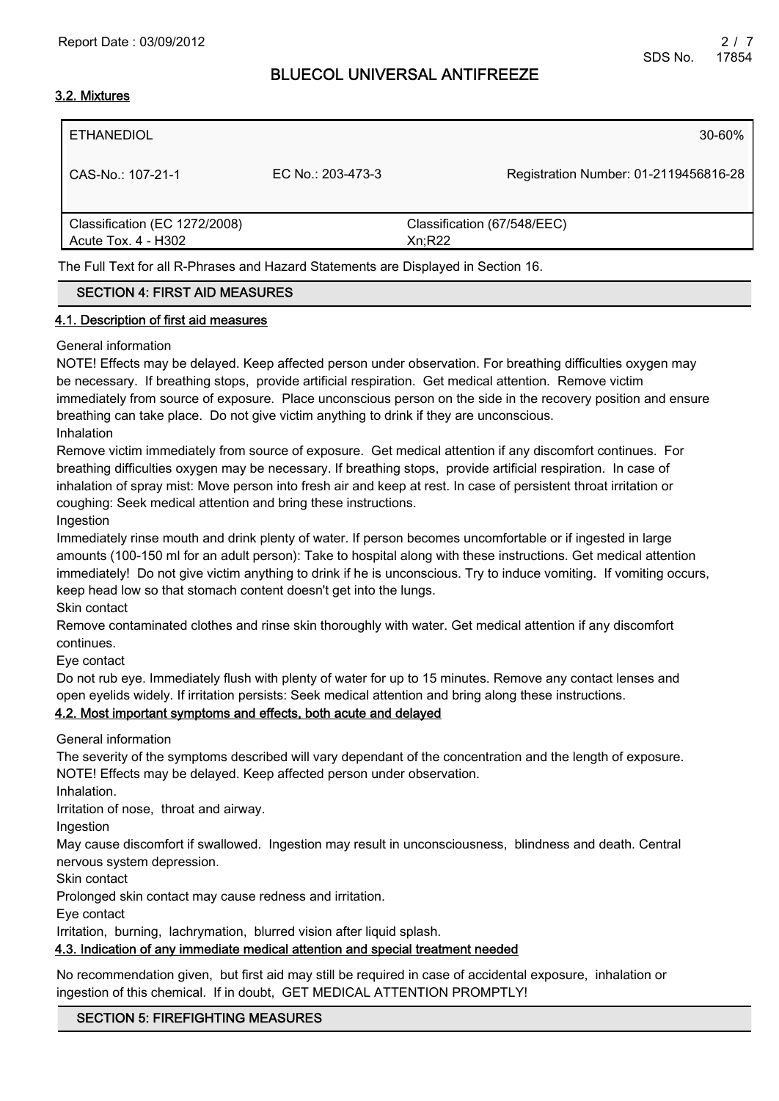## 3.2. Mixtures

| ETHANEDIOL                    |                   | $30 - 60\%$                           |
|-------------------------------|-------------------|---------------------------------------|
| CAS-No.: 107-21-1             | EC No.: 203-473-3 | Registration Number: 01-2119456816-28 |
| Classification (EC 1272/2008) |                   | Classification (67/548/EEC)           |
| Acute Tox. 4 - H302           |                   | Xn; R22                               |
|                               |                   |                                       |

The Full Text for all R-Phrases and Hazard Statements are Displayed in Section 16.

## SECTION 4: FIRST AID MEASURES

#### 4.1. Description of first aid measures

#### General information

NOTE! Effects may be delayed. Keep affected person under observation. For breathing difficulties oxygen may be necessary. If breathing stops, provide artificial respiration. Get medical attention. Remove victim immediately from source of exposure. Place unconscious person on the side in the recovery position and ensure breathing can take place. Do not give victim anything to drink if they are unconscious. Inhalation

Remove victim immediately from source of exposure. Get medical attention if any discomfort continues. For breathing difficulties oxygen may be necessary. If breathing stops, provide artificial respiration. In case of inhalation of spray mist: Move person into fresh air and keep at rest. In case of persistent throat irritation or coughing: Seek medical attention and bring these instructions.

Ingestion

Immediately rinse mouth and drink plenty of water. If person becomes uncomfortable or if ingested in large amounts (100-150 ml for an adult person): Take to hospital along with these instructions. Get medical attention immediately! Do not give victim anything to drink if he is unconscious. Try to induce vomiting. If vomiting occurs, keep head low so that stomach content doesn't get into the lungs.

Skin contact

Remove contaminated clothes and rinse skin thoroughly with water. Get medical attention if any discomfort continues.

Eye contact

Do not rub eye. Immediately flush with plenty of water for up to 15 minutes. Remove any contact lenses and open eyelids widely. If irritation persists: Seek medical attention and bring along these instructions.

#### 4.2. Most important symptoms and effects, both acute and delayed

General information

The severity of the symptoms described will vary dependant of the concentration and the length of exposure. NOTE! Effects may be delayed. Keep affected person under observation.

Inhalation.

Irritation of nose, throat and airway.

Ingestion

May cause discomfort if swallowed. Ingestion may result in unconsciousness, blindness and death. Central nervous system depression.

Skin contact

Prolonged skin contact may cause redness and irritation.

Eye contact

Irritation, burning, lachrymation, blurred vision after liquid splash.

## 4.3. Indication of any immediate medical attention and special treatment needed

No recommendation given, but first aid may still be required in case of accidental exposure, inhalation or ingestion of this chemical. If in doubt, GET MEDICAL ATTENTION PROMPTLY!

## SECTION 5: FIREFIGHTING MEASURES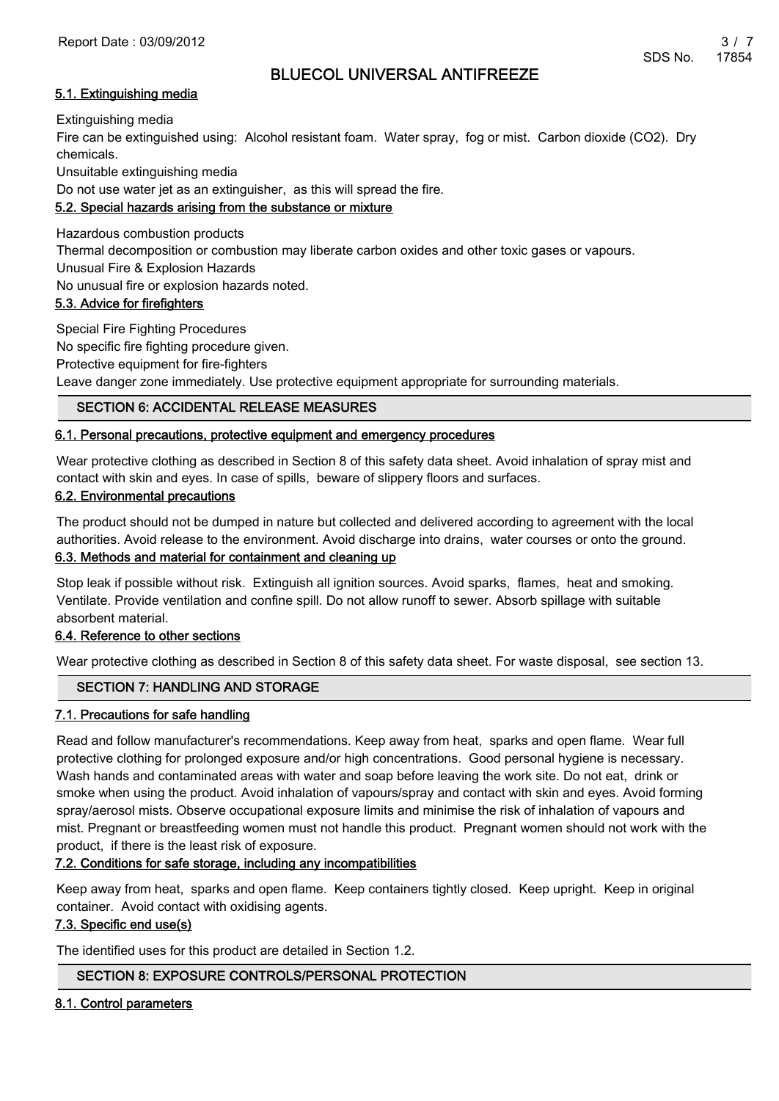## 5.1. Extinguishing media

Extinguishing media

Fire can be extinguished using: Alcohol resistant foam. Water spray, fog or mist. Carbon dioxide (CO2). Dry chemicals.

Unsuitable extinguishing media

Do not use water jet as an extinguisher, as this will spread the fire.

## 5.2. Special hazards arising from the substance or mixture

Hazardous combustion products

Thermal decomposition or combustion may liberate carbon oxides and other toxic gases or vapours.

Unusual Fire & Explosion Hazards

No unusual fire or explosion hazards noted.

## 5.3. Advice for firefighters

Special Fire Fighting Procedures No specific fire fighting procedure given. Protective equipment for fire-fighters

Leave danger zone immediately. Use protective equipment appropriate for surrounding materials.

## SECTION 6: ACCIDENTAL RELEASE MEASURES

## 6.1. Personal precautions, protective equipment and emergency procedures

Wear protective clothing as described in Section 8 of this safety data sheet. Avoid inhalation of spray mist and contact with skin and eyes. In case of spills, beware of slippery floors and surfaces.

## 6.2. Environmental precautions

The product should not be dumped in nature but collected and delivered according to agreement with the local authorities. Avoid release to the environment. Avoid discharge into drains, water courses or onto the ground.

## 6.3. Methods and material for containment and cleaning up

Stop leak if possible without risk. Extinguish all ignition sources. Avoid sparks, flames, heat and smoking. Ventilate. Provide ventilation and confine spill. Do not allow runoff to sewer. Absorb spillage with suitable absorbent material.

## 6.4. Reference to other sections

Wear protective clothing as described in Section 8 of this safety data sheet. For waste disposal, see section 13.

## SECTION 7: HANDLING AND STORAGE

## 7.1. Precautions for safe handling

Read and follow manufacturer's recommendations. Keep away from heat, sparks and open flame. Wear full protective clothing for prolonged exposure and/or high concentrations. Good personal hygiene is necessary. Wash hands and contaminated areas with water and soap before leaving the work site. Do not eat, drink or smoke when using the product. Avoid inhalation of vapours/spray and contact with skin and eyes. Avoid forming spray/aerosol mists. Observe occupational exposure limits and minimise the risk of inhalation of vapours and mist. Pregnant or breastfeeding women must not handle this product. Pregnant women should not work with the product, if there is the least risk of exposure.

## 7.2. Conditions for safe storage, including any incompatibilities

Keep away from heat, sparks and open flame. Keep containers tightly closed. Keep upright. Keep in original container. Avoid contact with oxidising agents.

## 7.3. Specific end use(s)

The identified uses for this product are detailed in Section 1.2.

## SECTION 8: EXPOSURE CONTROLS/PERSONAL PROTECTION

## 8.1. Control parameters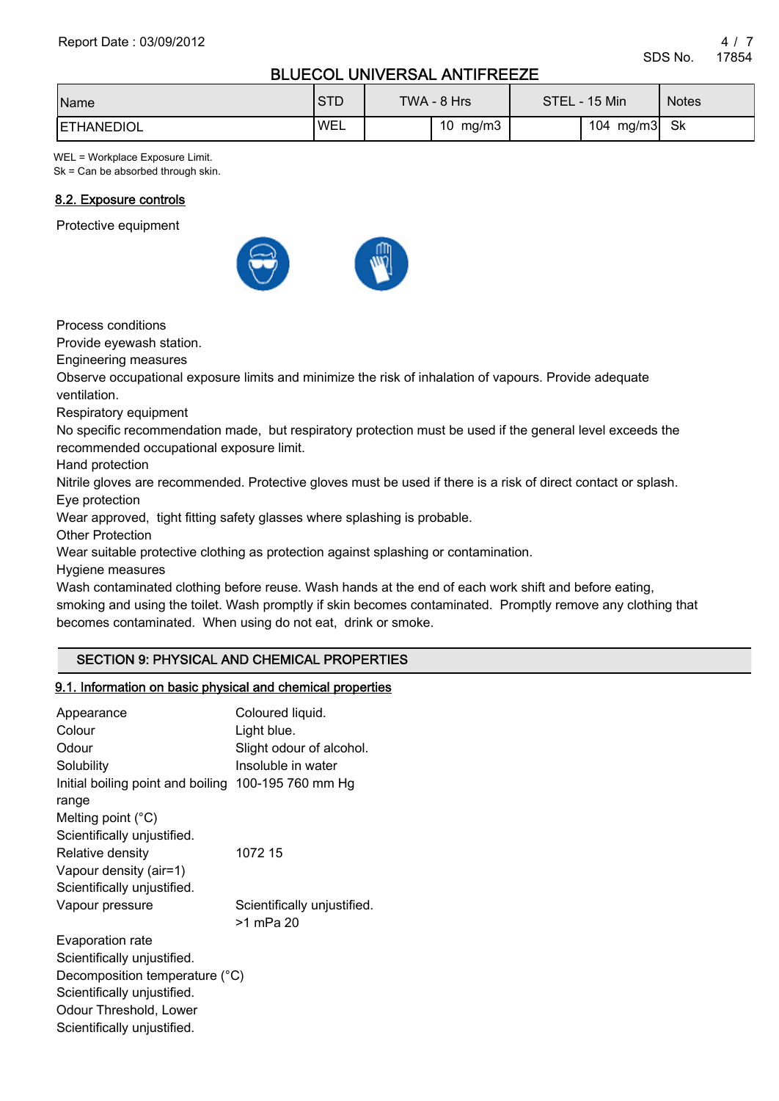| Name               | <b>STD</b> | TWA - 8 Hrs | STEL - 15 Min | <b>Notes</b> |
|--------------------|------------|-------------|---------------|--------------|
| <b>IETHANEDIOL</b> | <b>WEL</b> | mg/m3<br>10 | 104 mg/m3     | .Sk          |

WEL = Workplace Exposure Limit. Sk = Can be absorbed through skin.

## 8.2. Exposure controls

Protective equipment



Process conditions

Provide eyewash station.

Engineering measures

Observe occupational exposure limits and minimize the risk of inhalation of vapours. Provide adequate ventilation.

Respiratory equipment

No specific recommendation made, but respiratory protection must be used if the general level exceeds the recommended occupational exposure limit.

Hand protection

Nitrile gloves are recommended. Protective gloves must be used if there is a risk of direct contact or splash. Eye protection

Wear approved, tight fitting safety glasses where splashing is probable.

Other Protection

Wear suitable protective clothing as protection against splashing or contamination.

Hygiene measures

Scientifically unjustified.

Wash contaminated clothing before reuse. Wash hands at the end of each work shift and before eating, smoking and using the toilet. Wash promptly if skin becomes contaminated. Promptly remove any clothing that becomes contaminated. When using do not eat, drink or smoke.

## SECTION 9: PHYSICAL AND CHEMICAL PROPERTIES

#### 9.1. Information on basic physical and chemical properties

| Appearance                        | Coloured liquid.            |
|-----------------------------------|-----------------------------|
| Colour                            | Light blue.                 |
| Odour                             | Slight odour of alcohol.    |
| Solubility                        | Insoluble in water          |
| Initial boiling point and boiling | 100-195 760 mm Hg           |
| range                             |                             |
| Melting point $(^{\circ}C)$       |                             |
| Scientifically unjustified.       |                             |
| Relative density                  | 1072 15                     |
| Vapour density (air=1)            |                             |
| Scientifically unjustified.       |                             |
| Vapour pressure                   | Scientifically unjustified. |
|                                   | >1 mPa 20                   |
| Evaporation rate                  |                             |
| Scientifically unjustified.       |                             |
| Decomposition temperature (°C)    |                             |
| Scientifically unjustified.       |                             |
| Odour Threshold, Lower            |                             |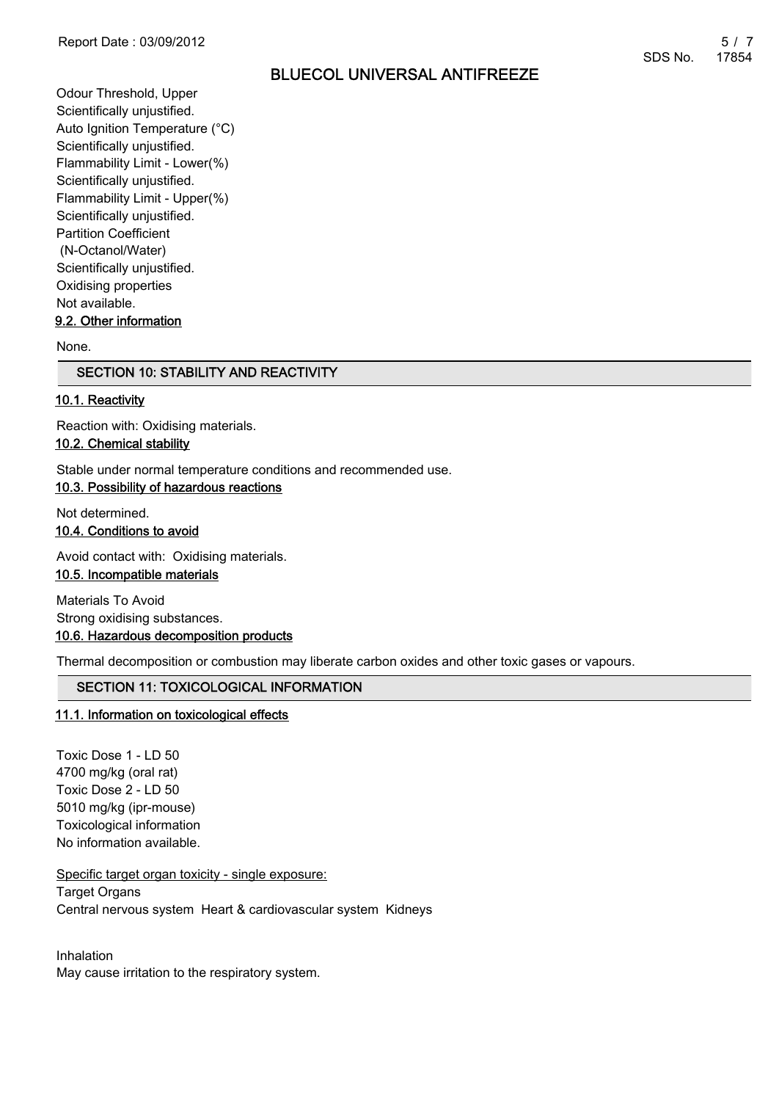Odour Threshold, Upper Scientifically unjustified. Auto Ignition Temperature (°C) Scientifically unjustified. Flammability Limit - Lower(%) Scientifically unjustified. Flammability Limit - Upper(%) Scientifically unjustified. Partition Coefficient (N-Octanol/Water) Scientifically unjustified. Oxidising properties Not available. 9.2. Other information

None.

#### SECTION 10: STABILITY AND REACTIVITY

#### 10.1. Reactivity

Reaction with: Oxidising materials.

## 10.2. Chemical stability

Stable under normal temperature conditions and recommended use.

## 10.3. Possibility of hazardous reactions

Not determined. 10.4. Conditions to avoid

Avoid contact with: Oxidising materials.

## 10.5. Incompatible materials

Materials To Avoid Strong oxidising substances. 10.6. Hazardous decomposition products

Thermal decomposition or combustion may liberate carbon oxides and other toxic gases or vapours.

## SECTION 11: TOXICOLOGICAL INFORMATION

#### 11.1. Information on toxicological effects

Toxic Dose 1 - LD 50 4700 mg/kg (oral rat) Toxic Dose 2 - LD 50 5010 mg/kg (ipr-mouse) Toxicological information No information available.

Specific target organ toxicity - single exposure:

Target Organs Central nervous system Heart & cardiovascular system Kidneys

Inhalation May cause irritation to the respiratory system.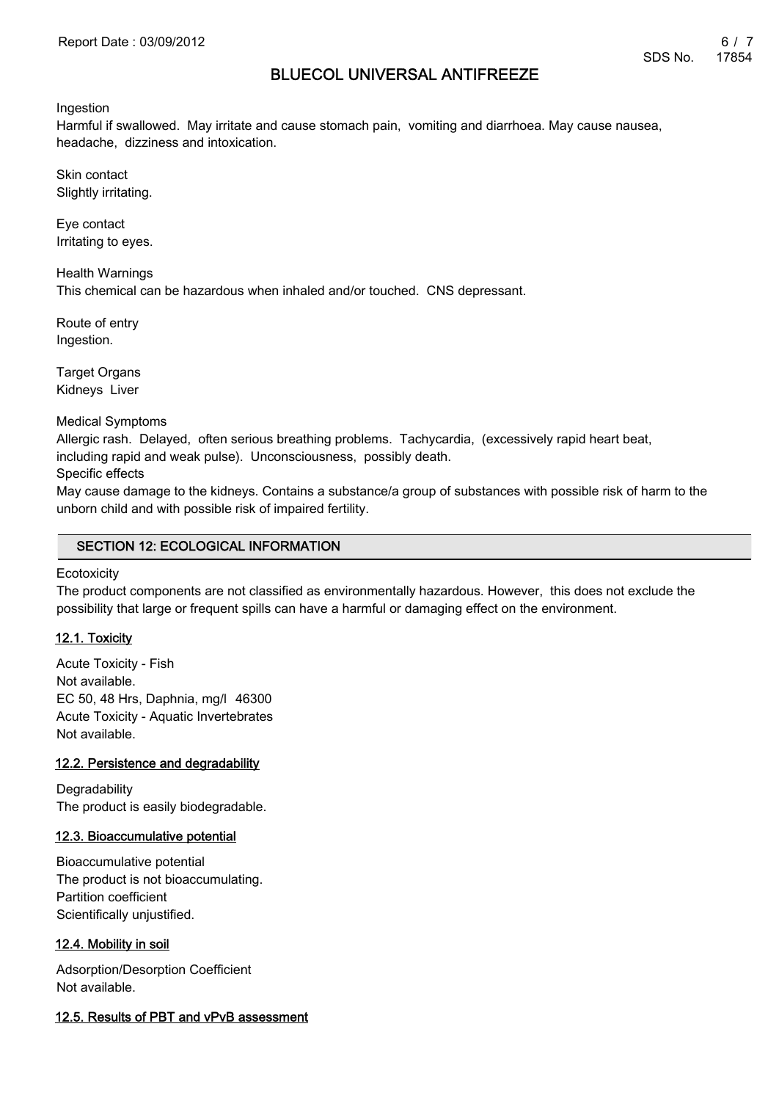Ingestion

Harmful if swallowed. May irritate and cause stomach pain, vomiting and diarrhoea. May cause nausea, headache, dizziness and intoxication.

Skin contact Slightly irritating.

Eye contact Irritating to eyes.

Health Warnings This chemical can be hazardous when inhaled and/or touched. CNS depressant.

Route of entry Ingestion.

Target Organs Kidneys Liver

Medical Symptoms

Allergic rash. Delayed, often serious breathing problems. Tachycardia, (excessively rapid heart beat, including rapid and weak pulse). Unconsciousness, possibly death.

Specific effects

May cause damage to the kidneys. Contains a substance/a group of substances with possible risk of harm to the unborn child and with possible risk of impaired fertility.

## SECTION 12: ECOLOGICAL INFORMATION

**Ecotoxicity** 

The product components are not classified as environmentally hazardous. However, this does not exclude the possibility that large or frequent spills can have a harmful or damaging effect on the environment.

## 12.1. Toxicity

Acute Toxicity - Fish Not available. EC 50, 48 Hrs, Daphnia, mg/l 46300 Acute Toxicity - Aquatic Invertebrates Not available.

## 12.2. Persistence and degradability

**Degradability** The product is easily biodegradable.

## 12.3. Bioaccumulative potential

Bioaccumulative potential The product is not bioaccumulating. Partition coefficient Scientifically unjustified.

## 12.4. Mobility in soil

Adsorption/Desorption Coefficient Not available.

## 12.5. Results of PBT and vPvB assessment